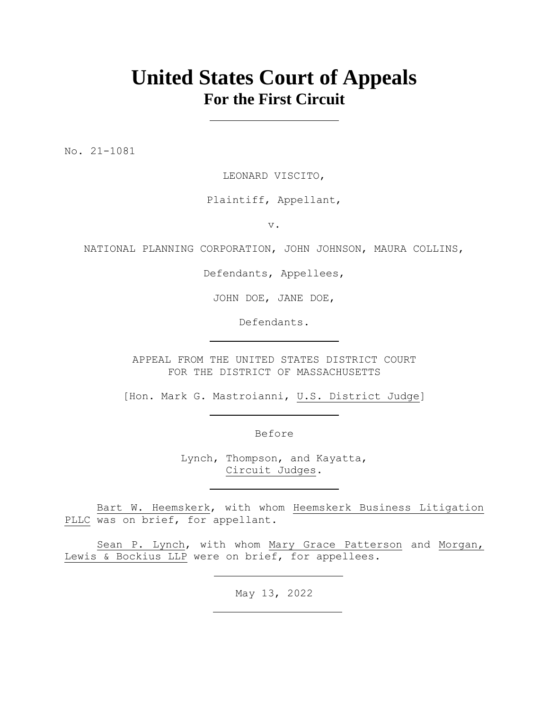# **United States Court of Appeals For the First Circuit**

No. 21-1081

LEONARD VISCITO,

## Plaintiff, Appellant,

v.

NATIONAL PLANNING CORPORATION, JOHN JOHNSON, MAURA COLLINS,

Defendants, Appellees,

JOHN DOE, JANE DOE,

Defendants.

APPEAL FROM THE UNITED STATES DISTRICT COURT FOR THE DISTRICT OF MASSACHUSETTS

[Hon. Mark G. Mastroianni, U.S. District Judge]

Before

Lynch, Thompson, and Kayatta, Circuit Judges.

Bart W. Heemskerk, with whom Heemskerk Business Litigation PLLC was on brief, for appellant.

Sean P. Lynch, with whom Mary Grace Patterson and Morgan, Lewis & Bockius LLP were on brief, for appellees.

May 13, 2022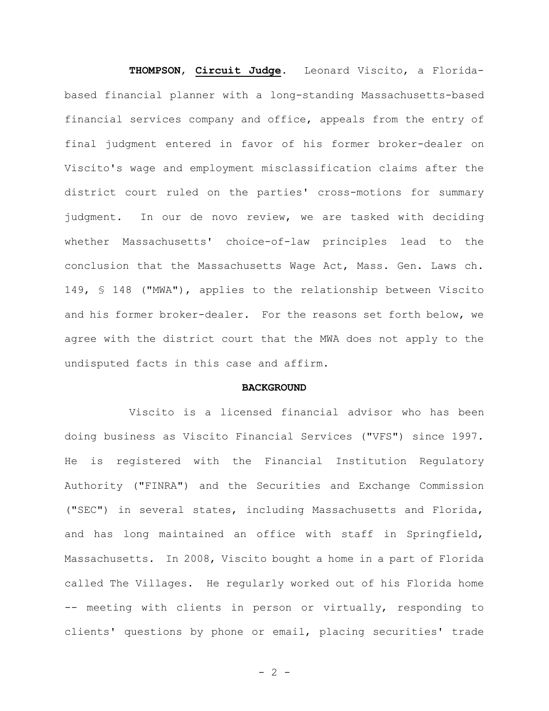**THOMPSON**, **Circuit Judge**. Leonard Viscito, a Floridabased financial planner with a long-standing Massachusetts-based financial services company and office, appeals from the entry of final judgment entered in favor of his former broker-dealer on Viscito's wage and employment misclassification claims after the district court ruled on the parties' cross-motions for summary judgment. In our de novo review, we are tasked with deciding whether Massachusetts' choice-of-law principles lead to the conclusion that the Massachusetts Wage Act, Mass. Gen. Laws ch. 149, § 148 ("MWA"), applies to the relationship between Viscito and his former broker-dealer. For the reasons set forth below, we agree with the district court that the MWA does not apply to the undisputed facts in this case and affirm.

### **BACKGROUND**

Viscito is a licensed financial advisor who has been doing business as Viscito Financial Services ("VFS") since 1997. He is registered with the Financial Institution Regulatory Authority ("FINRA") and the Securities and Exchange Commission ("SEC") in several states, including Massachusetts and Florida, and has long maintained an office with staff in Springfield, Massachusetts. In 2008, Viscito bought a home in a part of Florida called The Villages. He regularly worked out of his Florida home -- meeting with clients in person or virtually, responding to clients' questions by phone or email, placing securities' trade

 $- 2 -$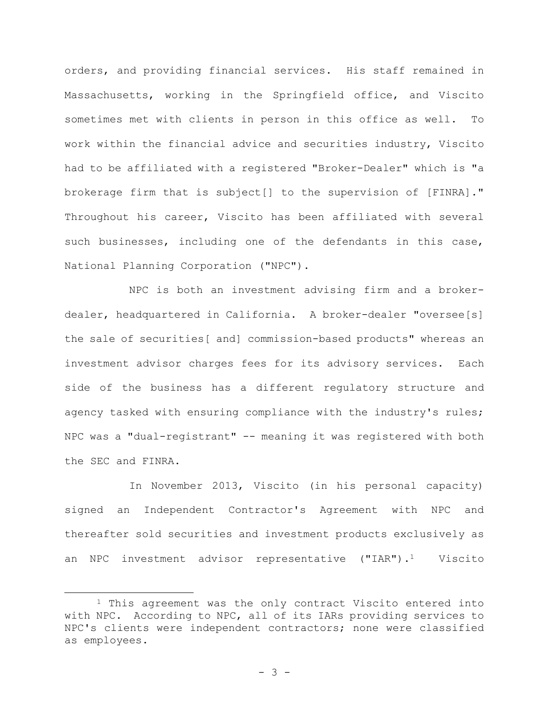orders, and providing financial services. His staff remained in Massachusetts, working in the Springfield office, and Viscito sometimes met with clients in person in this office as well. To work within the financial advice and securities industry, Viscito had to be affiliated with a registered "Broker-Dealer" which is "a brokerage firm that is subject[] to the supervision of [FINRA]." Throughout his career, Viscito has been affiliated with several such businesses, including one of the defendants in this case, National Planning Corporation ("NPC").

NPC is both an investment advising firm and a brokerdealer, headquartered in California. A broker-dealer "oversee[s] the sale of securities[ and] commission-based products" whereas an investment advisor charges fees for its advisory services. Each side of the business has a different regulatory structure and agency tasked with ensuring compliance with the industry's rules; NPC was a "dual-registrant" -- meaning it was registered with both the SEC and FINRA.

In November 2013, Viscito (in his personal capacity) signed an Independent Contractor's Agreement with NPC and thereafter sold securities and investment products exclusively as an NPC investment advisor representative ("IAR").<sup>1</sup> Viscito

<sup>1</sup> This agreement was the only contract Viscito entered into with NPC. According to NPC, all of its IARs providing services to NPC's clients were independent contractors; none were classified as employees.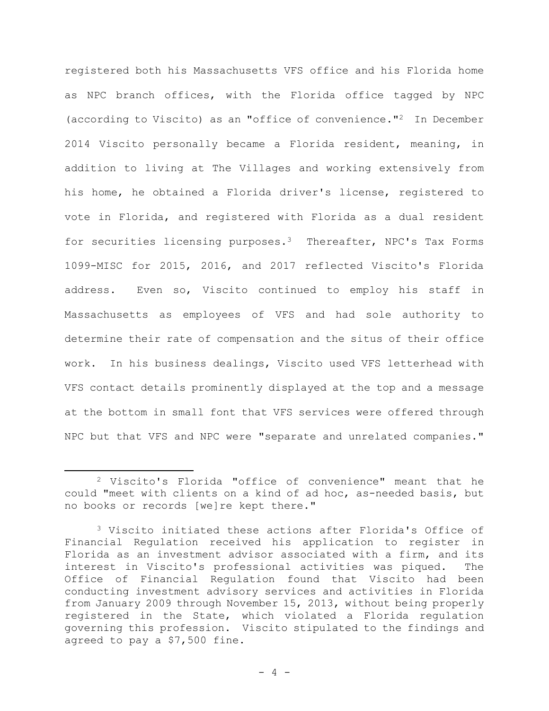registered both his Massachusetts VFS office and his Florida home as NPC branch offices, with the Florida office tagged by NPC (according to Viscito) as an "office of convenience."2 In December 2014 Viscito personally became a Florida resident, meaning, in addition to living at The Villages and working extensively from his home, he obtained a Florida driver's license, registered to vote in Florida, and registered with Florida as a dual resident for securities licensing purposes.<sup>3</sup> Thereafter, NPC's Tax Forms 1099-MISC for 2015, 2016, and 2017 reflected Viscito's Florida address. Even so, Viscito continued to employ his staff in Massachusetts as employees of VFS and had sole authority to determine their rate of compensation and the situs of their office work. In his business dealings, Viscito used VFS letterhead with VFS contact details prominently displayed at the top and a message at the bottom in small font that VFS services were offered through NPC but that VFS and NPC were "separate and unrelated companies."

<sup>2</sup> Viscito's Florida "office of convenience" meant that he could "meet with clients on a kind of ad hoc, as-needed basis, but no books or records [we]re kept there."

<sup>3</sup> Viscito initiated these actions after Florida's Office of Financial Regulation received his application to register in Florida as an investment advisor associated with a firm, and its interest in Viscito's professional activities was piqued. The Office of Financial Regulation found that Viscito had been conducting investment advisory services and activities in Florida from January 2009 through November 15, 2013, without being properly registered in the State, which violated a Florida regulation governing this profession. Viscito stipulated to the findings and agreed to pay a \$7,500 fine.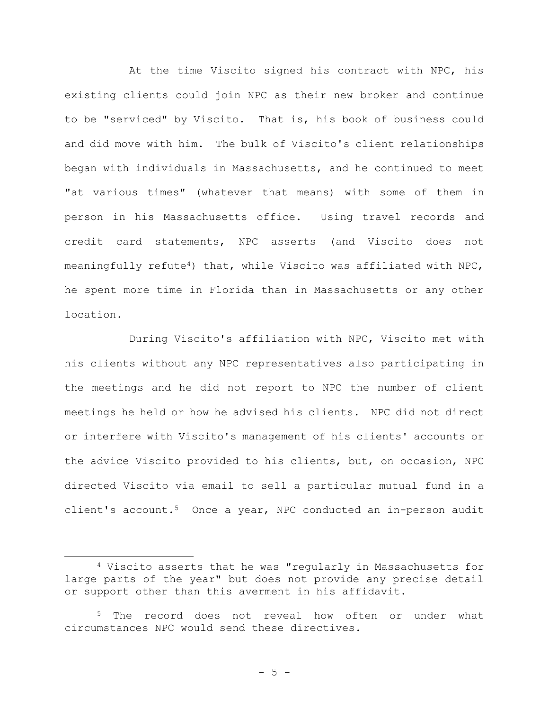At the time Viscito signed his contract with NPC, his existing clients could join NPC as their new broker and continue to be "serviced" by Viscito. That is, his book of business could and did move with him. The bulk of Viscito's client relationships began with individuals in Massachusetts, and he continued to meet "at various times" (whatever that means) with some of them in person in his Massachusetts office. Using travel records and credit card statements, NPC asserts (and Viscito does not meaningfully refute<sup>4</sup>) that, while Viscito was affiliated with NPC, he spent more time in Florida than in Massachusetts or any other location.

During Viscito's affiliation with NPC, Viscito met with his clients without any NPC representatives also participating in the meetings and he did not report to NPC the number of client meetings he held or how he advised his clients. NPC did not direct or interfere with Viscito's management of his clients' accounts or the advice Viscito provided to his clients, but, on occasion, NPC directed Viscito via email to sell a particular mutual fund in a client's account.<sup>5</sup> Once a year, NPC conducted an in-person audit

<sup>4</sup> Viscito asserts that he was "regularly in Massachusetts for large parts of the year" but does not provide any precise detail or support other than this averment in his affidavit.

<sup>5</sup> The record does not reveal how often or under what circumstances NPC would send these directives.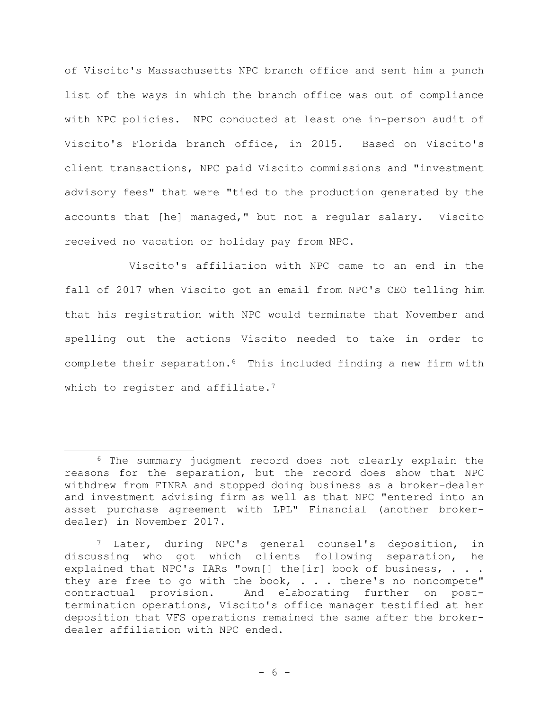of Viscito's Massachusetts NPC branch office and sent him a punch list of the ways in which the branch office was out of compliance with NPC policies. NPC conducted at least one in-person audit of Viscito's Florida branch office, in 2015. Based on Viscito's client transactions, NPC paid Viscito commissions and "investment advisory fees" that were "tied to the production generated by the accounts that [he] managed," but not a regular salary. Viscito received no vacation or holiday pay from NPC.

Viscito's affiliation with NPC came to an end in the fall of 2017 when Viscito got an email from NPC's CEO telling him that his registration with NPC would terminate that November and spelling out the actions Viscito needed to take in order to complete their separation.<sup>6</sup> This included finding a new firm with which to register and affiliate.<sup>7</sup>

<sup>6</sup> The summary judgment record does not clearly explain the reasons for the separation, but the record does show that NPC withdrew from FINRA and stopped doing business as a broker-dealer and investment advising firm as well as that NPC "entered into an asset purchase agreement with LPL" Financial (another brokerdealer) in November 2017.

<sup>7</sup> Later, during NPC's general counsel's deposition, in discussing who got which clients following separation, he explained that NPC's IARs "own[] the[ir] book of business, . . . they are free to go with the book,  $\cdot \cdot$  . there's no noncompete" contractual provision. And elaborating further on posttermination operations, Viscito's office manager testified at her deposition that VFS operations remained the same after the brokerdealer affiliation with NPC ended.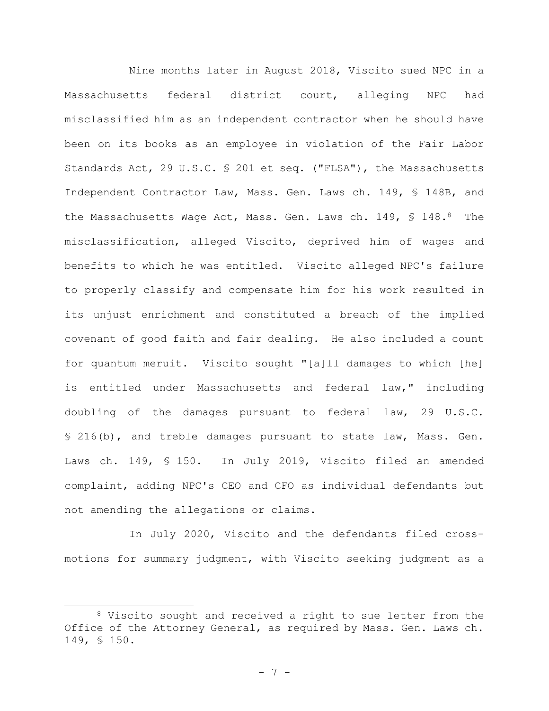Nine months later in August 2018, Viscito sued NPC in a Massachusetts federal district court, alleging NPC had misclassified him as an independent contractor when he should have been on its books as an employee in violation of the Fair Labor Standards Act, 29 U.S.C. § 201 et seq. ("FLSA"), the Massachusetts Independent Contractor Law, Mass. Gen. Laws ch. 149, § 148B, and the Massachusetts Wage Act, Mass. Gen. Laws ch. 149, § 148.<sup>8</sup> The misclassification, alleged Viscito, deprived him of wages and benefits to which he was entitled. Viscito alleged NPC's failure to properly classify and compensate him for his work resulted in its unjust enrichment and constituted a breach of the implied covenant of good faith and fair dealing. He also included a count for quantum meruit. Viscito sought "[a]ll damages to which [he] is entitled under Massachusetts and federal law," including doubling of the damages pursuant to federal law, 29 U.S.C. § 216(b), and treble damages pursuant to state law, Mass. Gen. Laws ch. 149, § 150. In July 2019, Viscito filed an amended complaint, adding NPC's CEO and CFO as individual defendants but not amending the allegations or claims.

In July 2020, Viscito and the defendants filed crossmotions for summary judgment, with Viscito seeking judgment as a

<sup>8</sup> Viscito sought and received a right to sue letter from the Office of the Attorney General, as required by Mass. Gen. Laws ch. 149, § 150.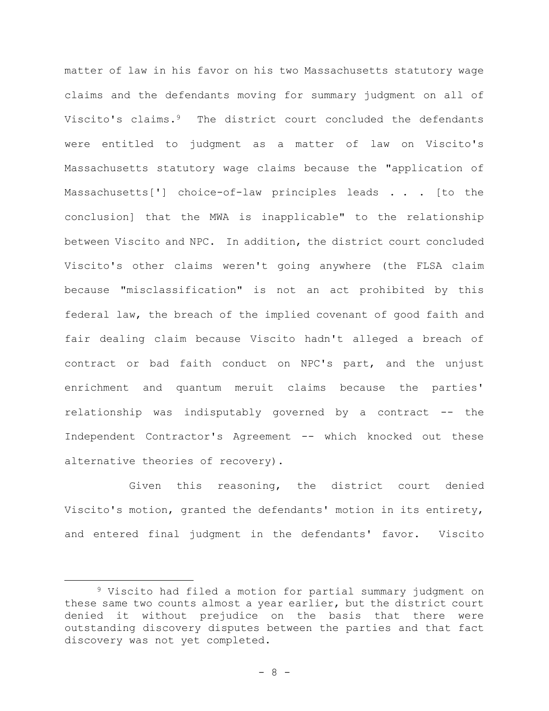matter of law in his favor on his two Massachusetts statutory wage claims and the defendants moving for summary judgment on all of Viscito's claims.<sup>9</sup> The district court concluded the defendants were entitled to judgment as a matter of law on Viscito's Massachusetts statutory wage claims because the "application of Massachusetts['] choice-of-law principles leads . . . [to the conclusion] that the MWA is inapplicable" to the relationship between Viscito and NPC. In addition, the district court concluded Viscito's other claims weren't going anywhere (the FLSA claim because "misclassification" is not an act prohibited by this federal law, the breach of the implied covenant of good faith and fair dealing claim because Viscito hadn't alleged a breach of contract or bad faith conduct on NPC's part, and the unjust enrichment and quantum meruit claims because the parties' relationship was indisputably governed by a contract -- the Independent Contractor's Agreement -- which knocked out these alternative theories of recovery).

Given this reasoning, the district court denied Viscito's motion, granted the defendants' motion in its entirety, and entered final judgment in the defendants' favor. Viscito

<sup>9</sup> Viscito had filed a motion for partial summary judgment on these same two counts almost a year earlier, but the district court denied it without prejudice on the basis that there were outstanding discovery disputes between the parties and that fact discovery was not yet completed.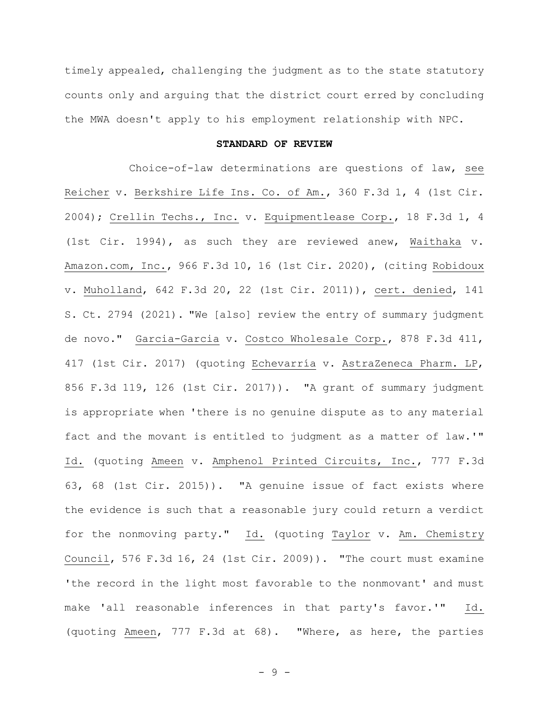timely appealed, challenging the judgment as to the state statutory counts only and arguing that the district court erred by concluding the MWA doesn't apply to his employment relationship with NPC.

## **STANDARD OF REVIEW**

Choice-of-law determinations are questions of law, see Reicher v. Berkshire Life Ins. Co. of Am., 360 F.3d 1, 4 (1st Cir. 2004); Crellin Techs., Inc. v. Equipmentlease Corp., 18 F.3d 1, 4 (1st Cir. 1994), as such they are reviewed anew, Waithaka v. Amazon.com, Inc., 966 F.3d 10, 16 (1st Cir. 2020), (citing Robidoux v. Muholland, 642 F.3d 20, 22 (1st Cir. 2011)), cert. denied, 141 S. Ct. 2794 (2021). "We [also] review the entry of summary judgment de novo." Garcia-Garcia v. Costco Wholesale Corp., 878 F.3d 411, 417 (1st Cir. 2017) (quoting Echevarría v. AstraZeneca Pharm. LP, 856 F.3d 119, 126 (1st Cir. 2017)). "A grant of summary judgment is appropriate when 'there is no genuine dispute as to any material fact and the movant is entitled to judgment as a matter of law.'" Id. (quoting Ameen v. Amphenol Printed Circuits, Inc., 777 F.3d 63, 68 (1st Cir. 2015)). "A genuine issue of fact exists where the evidence is such that a reasonable jury could return a verdict for the nonmoving party." Id. (quoting Taylor v. Am. Chemistry Council, 576 F.3d 16, 24 (1st Cir. 2009)). "The court must examine 'the record in the light most favorable to the nonmovant' and must make 'all reasonable inferences in that party's favor.'" Id. (quoting Ameen, 777 F.3d at 68). "Where, as here, the parties

- 9 -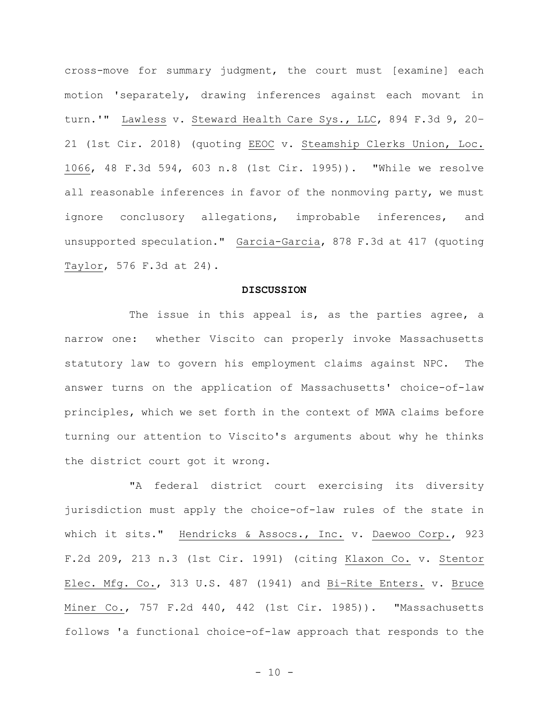cross-move for summary judgment, the court must [examine] each motion 'separately, drawing inferences against each movant in turn.'" Lawless v. Steward Health Care Sys., LLC, 894 F.3d 9, 20– 21 (1st Cir. 2018) (quoting EEOC v. Steamship Clerks Union, Loc. 1066, 48 F.3d 594, 603 n.8 (1st Cir. 1995)). "While we resolve all reasonable inferences in favor of the nonmoving party, we must ignore conclusory allegations, improbable inferences, and unsupported speculation." Garcia-Garcia, 878 F.3d at 417 (quoting Taylor, 576 F.3d at 24).

#### **DISCUSSION**

The issue in this appeal is, as the parties agree, a narrow one: whether Viscito can properly invoke Massachusetts statutory law to govern his employment claims against NPC. The answer turns on the application of Massachusetts' choice-of-law principles, which we set forth in the context of MWA claims before turning our attention to Viscito's arguments about why he thinks the district court got it wrong.

"A federal district court exercising its diversity jurisdiction must apply the choice-of-law rules of the state in which it sits." Hendricks & Assocs., Inc. v. Daewoo Corp., 923 F.2d 209, 213 n.3 (1st Cir. 1991) (citing Klaxon Co. v. Stentor Elec. Mfg. Co., 313 U.S. 487 (1941) and Bi–Rite Enters. v. Bruce Miner Co., 757 F.2d 440, 442 (1st Cir. 1985)). "Massachusetts follows 'a functional choice-of-law approach that responds to the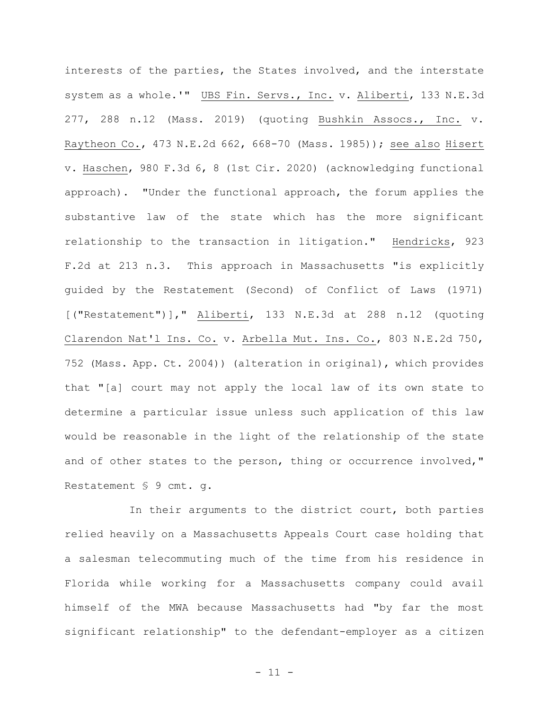interests of the parties, the States involved, and the interstate system as a whole.'" UBS Fin. Servs., Inc. v. Aliberti, 133 N.E.3d 277, 288 n.12 (Mass. 2019) (quoting Bushkin Assocs., Inc. v. Raytheon Co., 473 N.E.2d 662, 668-70 (Mass. 1985)); see also Hisert v. Haschen, 980 F.3d 6, 8 (1st Cir. 2020) (acknowledging functional approach). "Under the functional approach, the forum applies the substantive law of the state which has the more significant relationship to the transaction in litigation." Hendricks, 923 F.2d at 213 n.3. This approach in Massachusetts "is explicitly guided by the Restatement (Second) of Conflict of Laws (1971) [("Restatement")]," Aliberti, 133 N.E.3d at 288 n.12 (quoting Clarendon Nat'l Ins. Co. v. Arbella Mut. Ins. Co., 803 N.E.2d 750, 752 (Mass. App. Ct. 2004)) (alteration in original), which provides that "[a] court may not apply the local law of its own state to determine a particular issue unless such application of this law would be reasonable in the light of the relationship of the state and of other states to the person, thing or occurrence involved," Restatement § 9 cmt. g.

In their arguments to the district court, both parties relied heavily on a Massachusetts Appeals Court case holding that a salesman telecommuting much of the time from his residence in Florida while working for a Massachusetts company could avail himself of the MWA because Massachusetts had "by far the most significant relationship" to the defendant-employer as a citizen

- 11 -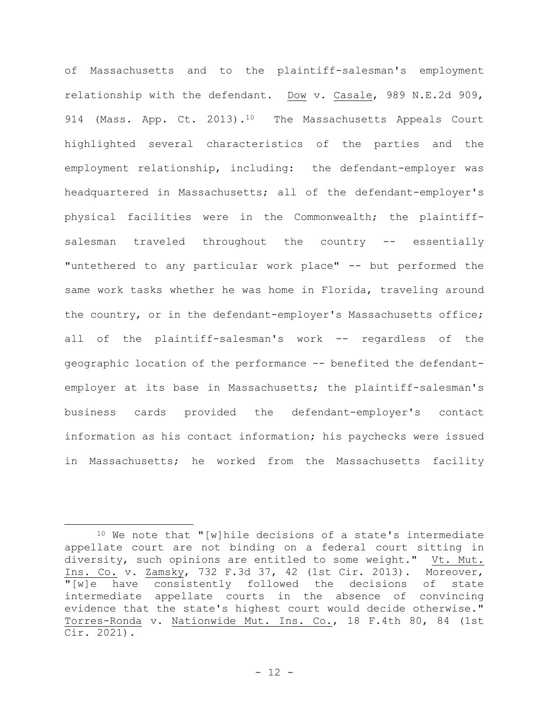of Massachusetts and to the plaintiff-salesman's employment relationship with the defendant. Dow v. Casale, 989 N.E.2d 909, 914 (Mass. App. Ct. 2013).<sup>10</sup> The Massachusetts Appeals Court highlighted several characteristics of the parties and the employment relationship, including: the defendant-employer was headquartered in Massachusetts; all of the defendant-employer's physical facilities were in the Commonwealth; the plaintiffsalesman traveled throughout the country -- essentially "untethered to any particular work place" -- but performed the same work tasks whether he was home in Florida, traveling around the country, or in the defendant-employer's Massachusetts office; all of the plaintiff-salesman's work -- regardless of the geographic location of the performance -- benefited the defendantemployer at its base in Massachusetts; the plaintiff-salesman's business cards provided the defendant-employer's contact information as his contact information; his paychecks were issued in Massachusetts; he worked from the Massachusetts facility

 $10$  We note that "[w] hile decisions of a state's intermediate appellate court are not binding on a federal court sitting in diversity, such opinions are entitled to some weight." Vt. Mut. Ins. Co. v. Zamsky, 732 F.3d 37, 42 (1st Cir. 2013). Moreover, "[w]e have consistently followed the decisions of state intermediate appellate courts in the absence of convincing evidence that the state's highest court would decide otherwise." Torres-Ronda v. Nationwide Mut. Ins. Co., 18 F.4th 80, 84 (1st Cir. 2021).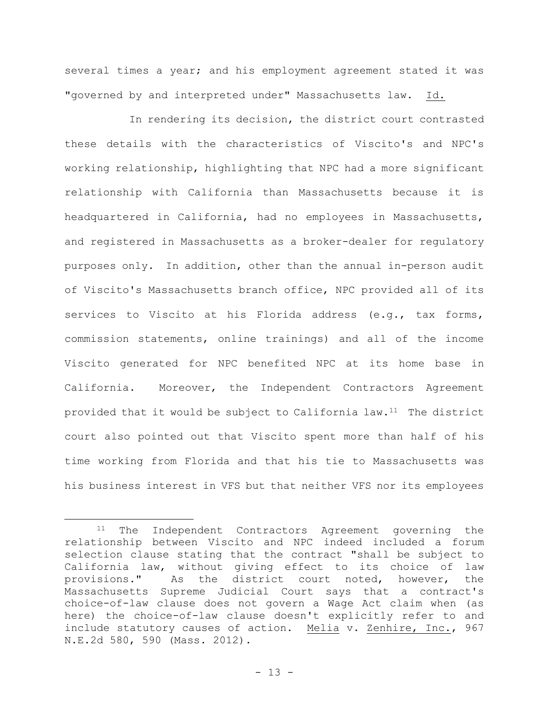several times a year; and his employment agreement stated it was "governed by and interpreted under" Massachusetts law. Id.

In rendering its decision, the district court contrasted these details with the characteristics of Viscito's and NPC's working relationship, highlighting that NPC had a more significant relationship with California than Massachusetts because it is headquartered in California, had no employees in Massachusetts, and registered in Massachusetts as a broker-dealer for regulatory purposes only. In addition, other than the annual in-person audit of Viscito's Massachusetts branch office, NPC provided all of its services to Viscito at his Florida address (e.g., tax forms, commission statements, online trainings) and all of the income Viscito generated for NPC benefited NPC at its home base in California. Moreover, the Independent Contractors Agreement provided that it would be subject to California law.<sup>11</sup> The district court also pointed out that Viscito spent more than half of his time working from Florida and that his tie to Massachusetts was his business interest in VFS but that neither VFS nor its employees

<sup>11</sup> The Independent Contractors Agreement governing the relationship between Viscito and NPC indeed included a forum selection clause stating that the contract "shall be subject to California law, without giving effect to its choice of law provisions." As the district court noted, however, the Massachusetts Supreme Judicial Court says that a contract's choice-of-law clause does not govern a Wage Act claim when (as here) the choice-of-law clause doesn't explicitly refer to and include statutory causes of action. Melia v. Zenhire, Inc., 967 N.E.2d 580, 590 (Mass. 2012).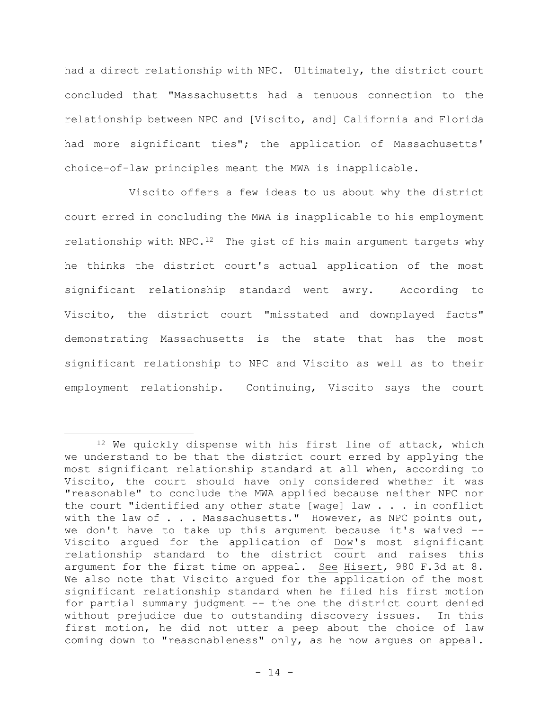had a direct relationship with NPC. Ultimately, the district court concluded that "Massachusetts had a tenuous connection to the relationship between NPC and [Viscito, and] California and Florida had more significant ties"; the application of Massachusetts' choice-of-law principles meant the MWA is inapplicable.

Viscito offers a few ideas to us about why the district court erred in concluding the MWA is inapplicable to his employment relationship with NPC.<sup>12</sup> The gist of his main argument targets why he thinks the district court's actual application of the most significant relationship standard went awry. According to Viscito, the district court "misstated and downplayed facts" demonstrating Massachusetts is the state that has the most significant relationship to NPC and Viscito as well as to their employment relationship. Continuing, Viscito says the court

<sup>&</sup>lt;sup>12</sup> We quickly dispense with his first line of attack, which we understand to be that the district court erred by applying the most significant relationship standard at all when, according to Viscito, the court should have only considered whether it was "reasonable" to conclude the MWA applied because neither NPC nor the court "identified any other state [wage] law . . . in conflict with the law of . . . Massachusetts." However, as NPC points out, we don't have to take up this argument because it's waived -- Viscito argued for the application of Dow's most significant relationship standard to the district court and raises this argument for the first time on appeal. See Hisert, 980 F.3d at 8. We also note that Viscito argued for the application of the most significant relationship standard when he filed his first motion for partial summary judgment -- the one the district court denied without prejudice due to outstanding discovery issues. In this first motion, he did not utter a peep about the choice of law coming down to "reasonableness" only, as he now argues on appeal.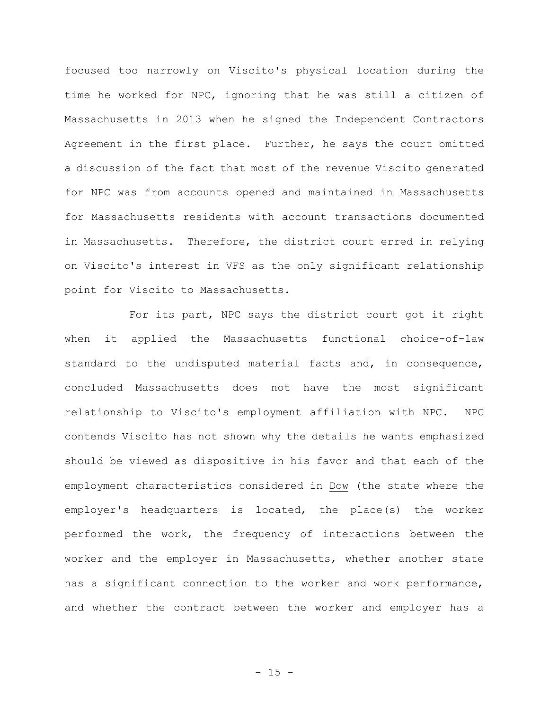focused too narrowly on Viscito's physical location during the time he worked for NPC, ignoring that he was still a citizen of Massachusetts in 2013 when he signed the Independent Contractors Agreement in the first place. Further, he says the court omitted a discussion of the fact that most of the revenue Viscito generated for NPC was from accounts opened and maintained in Massachusetts for Massachusetts residents with account transactions documented in Massachusetts. Therefore, the district court erred in relying on Viscito's interest in VFS as the only significant relationship point for Viscito to Massachusetts.

For its part, NPC says the district court got it right when it applied the Massachusetts functional choice-of-law standard to the undisputed material facts and, in consequence, concluded Massachusetts does not have the most significant relationship to Viscito's employment affiliation with NPC. NPC contends Viscito has not shown why the details he wants emphasized should be viewed as dispositive in his favor and that each of the employment characteristics considered in Dow (the state where the employer's headquarters is located, the place(s) the worker performed the work, the frequency of interactions between the worker and the employer in Massachusetts, whether another state has a significant connection to the worker and work performance, and whether the contract between the worker and employer has a

 $- 15 -$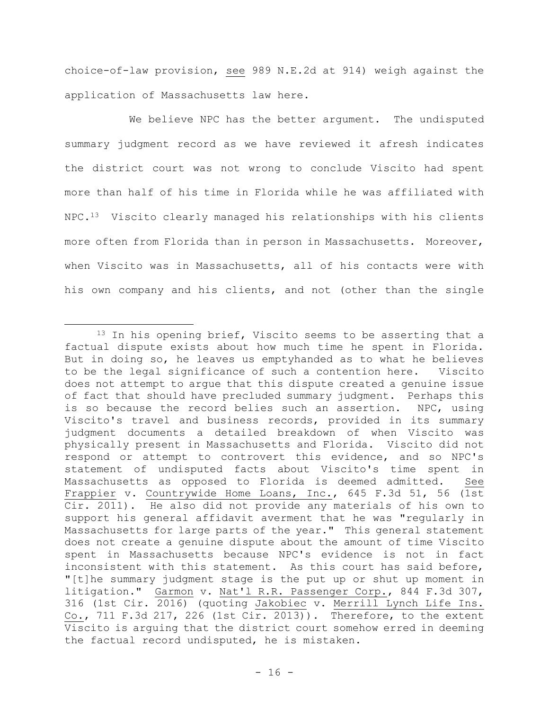choice-of-law provision, see 989 N.E.2d at 914) weigh against the application of Massachusetts law here.

We believe NPC has the better argument. The undisputed summary judgment record as we have reviewed it afresh indicates the district court was not wrong to conclude Viscito had spent more than half of his time in Florida while he was affiliated with NPC.13 Viscito clearly managed his relationships with his clients more often from Florida than in person in Massachusetts. Moreover, when Viscito was in Massachusetts, all of his contacts were with his own company and his clients, and not (other than the single

<sup>&</sup>lt;sup>13</sup> In his opening brief, Viscito seems to be asserting that a factual dispute exists about how much time he spent in Florida. But in doing so, he leaves us emptyhanded as to what he believes to be the legal significance of such a contention here. Viscito does not attempt to argue that this dispute created a genuine issue of fact that should have precluded summary judgment. Perhaps this is so because the record belies such an assertion. NPC, using Viscito's travel and business records, provided in its summary judgment documents a detailed breakdown of when Viscito was physically present in Massachusetts and Florida. Viscito did not respond or attempt to controvert this evidence, and so NPC's statement of undisputed facts about Viscito's time spent in Massachusetts as opposed to Florida is deemed admitted. See Frappier v. Countrywide Home Loans, Inc., 645 F.3d 51, 56 (1st Cir. 2011). He also did not provide any materials of his own to support his general affidavit averment that he was "regularly in Massachusetts for large parts of the year." This general statement does not create a genuine dispute about the amount of time Viscito spent in Massachusetts because NPC's evidence is not in fact inconsistent with this statement. As this court has said before, "[t]he summary judgment stage is the put up or shut up moment in litigation." Garmon v. Nat'l R.R. Passenger Corp., 844 F.3d 307, 316 (1st Cir. 2016) (quoting Jakobiec v. Merrill Lynch Life Ins. Co., 711 F.3d 217, 226 (1st Cir. 2013)). Therefore, to the extent Viscito is arguing that the district court somehow erred in deeming the factual record undisputed, he is mistaken.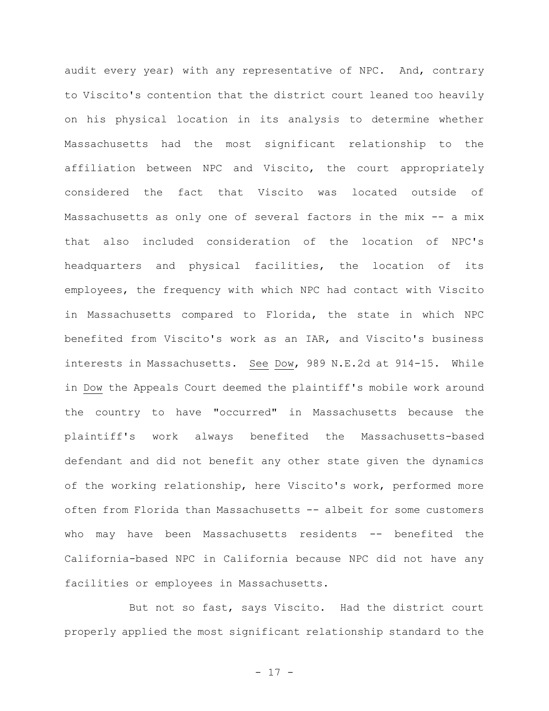audit every year) with any representative of NPC. And, contrary to Viscito's contention that the district court leaned too heavily on his physical location in its analysis to determine whether Massachusetts had the most significant relationship to the affiliation between NPC and Viscito, the court appropriately considered the fact that Viscito was located outside of Massachusetts as only one of several factors in the mix -- a mix that also included consideration of the location of NPC's headquarters and physical facilities, the location of its employees, the frequency with which NPC had contact with Viscito in Massachusetts compared to Florida, the state in which NPC benefited from Viscito's work as an IAR, and Viscito's business interests in Massachusetts. See Dow, 989 N.E.2d at 914-15. While in Dow the Appeals Court deemed the plaintiff's mobile work around the country to have "occurred" in Massachusetts because the plaintiff's work always benefited the Massachusetts-based defendant and did not benefit any other state given the dynamics of the working relationship, here Viscito's work, performed more often from Florida than Massachusetts -- albeit for some customers who may have been Massachusetts residents -- benefited the California-based NPC in California because NPC did not have any facilities or employees in Massachusetts.

But not so fast, says Viscito. Had the district court properly applied the most significant relationship standard to the

- 17 -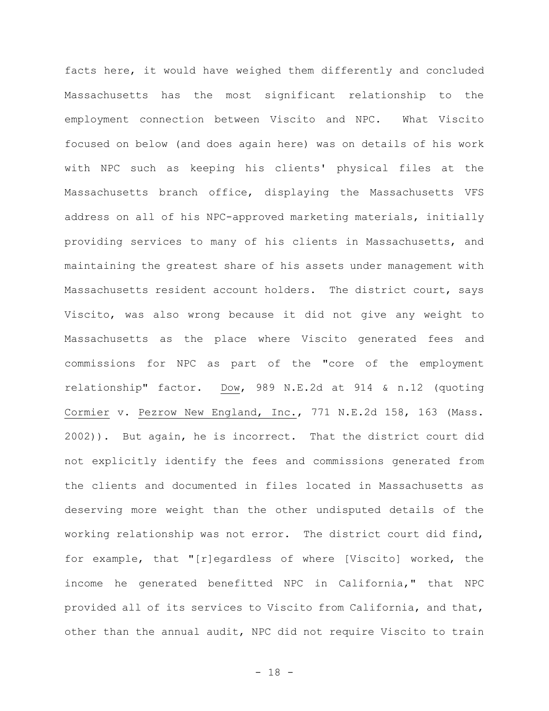facts here, it would have weighed them differently and concluded Massachusetts has the most significant relationship to the employment connection between Viscito and NPC. What Viscito focused on below (and does again here) was on details of his work with NPC such as keeping his clients' physical files at the Massachusetts branch office, displaying the Massachusetts VFS address on all of his NPC-approved marketing materials, initially providing services to many of his clients in Massachusetts, and maintaining the greatest share of his assets under management with Massachusetts resident account holders. The district court, says Viscito, was also wrong because it did not give any weight to Massachusetts as the place where Viscito generated fees and commissions for NPC as part of the "core of the employment relationship" factor. Dow, 989 N.E.2d at 914 & n.12 (quoting Cormier v. Pezrow New England, Inc., 771 N.E.2d 158, 163 (Mass. 2002)). But again, he is incorrect. That the district court did not explicitly identify the fees and commissions generated from the clients and documented in files located in Massachusetts as deserving more weight than the other undisputed details of the working relationship was not error. The district court did find, for example, that "[r]egardless of where [Viscito] worked, the income he generated benefitted NPC in California," that NPC provided all of its services to Viscito from California, and that, other than the annual audit, NPC did not require Viscito to train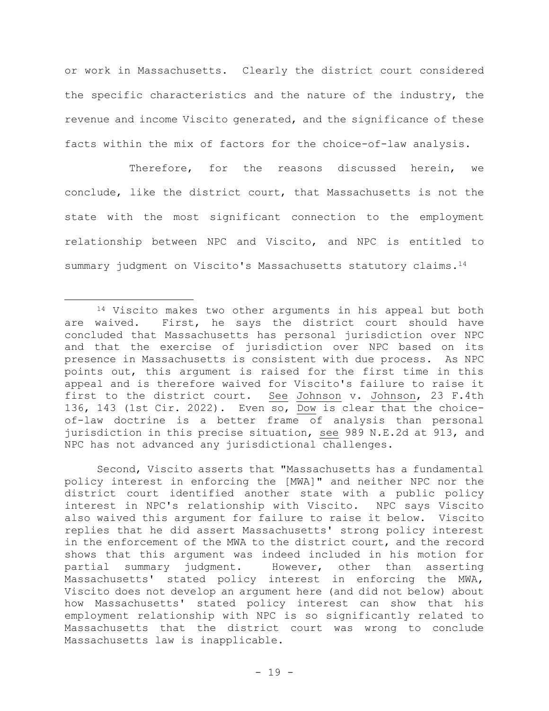or work in Massachusetts. Clearly the district court considered the specific characteristics and the nature of the industry, the revenue and income Viscito generated, and the significance of these facts within the mix of factors for the choice-of-law analysis.

Therefore, for the reasons discussed herein, we conclude, like the district court, that Massachusetts is not the state with the most significant connection to the employment relationship between NPC and Viscito, and NPC is entitled to summary judgment on Viscito's Massachusetts statutory claims.<sup>14</sup>

Second, Viscito asserts that "Massachusetts has a fundamental policy interest in enforcing the [MWA]" and neither NPC nor the district court identified another state with a public policy interest in NPC's relationship with Viscito. NPC says Viscito also waived this argument for failure to raise it below. Viscito replies that he did assert Massachusetts' strong policy interest in the enforcement of the MWA to the district court, and the record shows that this argument was indeed included in his motion for partial summary judgment. However, other than asserting Massachusetts' stated policy interest in enforcing the MWA, Viscito does not develop an argument here (and did not below) about how Massachusetts' stated policy interest can show that his employment relationship with NPC is so significantly related to Massachusetts that the district court was wrong to conclude Massachusetts law is inapplicable.

<sup>14</sup> Viscito makes two other arguments in his appeal but both are waived. First, he says the district court should have concluded that Massachusetts has personal jurisdiction over NPC and that the exercise of jurisdiction over NPC based on its presence in Massachusetts is consistent with due process. As NPC points out, this argument is raised for the first time in this appeal and is therefore waived for Viscito's failure to raise it first to the district court. See Johnson v. Johnson, 23 F.4th 136, 143 (1st Cir. 2022). Even so, Dow is clear that the choiceof-law doctrine is a better frame of analysis than personal jurisdiction in this precise situation, see 989 N.E.2d at 913, and NPC has not advanced any jurisdictional challenges.